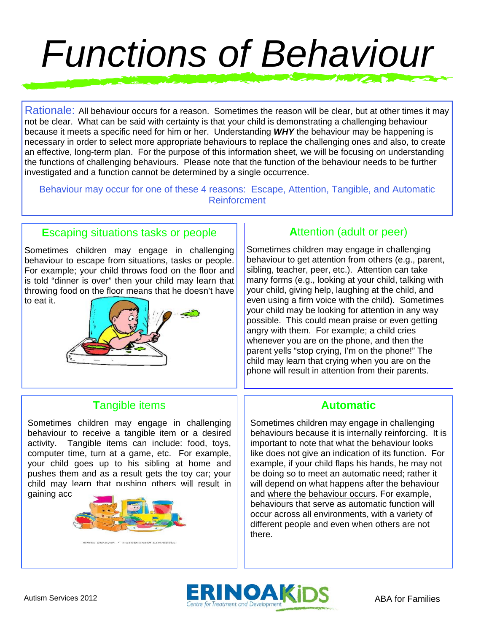# *Functions of Behaviour*

Rationale: All behaviour occurs for a reason. Sometimes the reason will be clear, but at other times it may not be clear. What can be said with certainty is that your child is demonstrating a challenging behaviour because it meets a specific need for him or her. Understanding *WHY* the behaviour may be happening is necessary in order to select more appropriate behaviours to replace the challenging ones and also, to create an effective, long-term plan. For the purpose of this information sheet, we will be focusing on understanding the functions of challenging behaviours. Please note that the function of the behaviour needs to be further investigated and a function cannot be determined by a single occurrence.

Behaviour may occur for one of these 4 reasons: Escape, Attention, Tangible, and Automatic Reinforcment

### **E**scaping situations tasks or people

Sometimes children may engage in challenging behaviour to escape from situations, tasks or people. For example; your child throws food on the floor and is told "dinner is over" then your child may learn that throwing food on the floor means that he doesn't have to eat it.



### **A**ttention (adult or peer)

Sometimes children may engage in challenging behaviour to get attention from others (e.g., parent, sibling, teacher, peer, etc.). Attention can take many forms (e.g., looking at your child, talking with your child, giving help, laughing at the child, and even using a firm voice with the child). Sometimes your child may be looking for attention in any way possible. This could mean praise or even getting angry with them. For example; a child cries whenever you are on the phone, and then the parent yells "stop crying, I'm on the phone!" The child may learn that crying when you are on the phone will result in attention from their parents.

### **T**angible items

gaining access to the town the town of the town of the toy car. Sometimes children may engage in challenging behaviour to receive a tangible item or a desired activity. Tangible items can include: food, toys, computer time, turn at a game, etc. For example, your child goes up to his sibling at home and pushes them and as a result gets the toy car; your child may learn that pushing others will result in



### **Automatic**

Sometimes children may engage in challenging behaviours because it is internally reinforcing. It is important to note that what the behaviour looks like does not give an indication of its function. For example, if your child flaps his hands, he may not be doing so to meet an automatic need; rather it will depend on what happens after the behaviour and where the behaviour occurs. For example, behaviours that serve as automatic function will occur across all environments, with a variety of different people and even when others are not there.